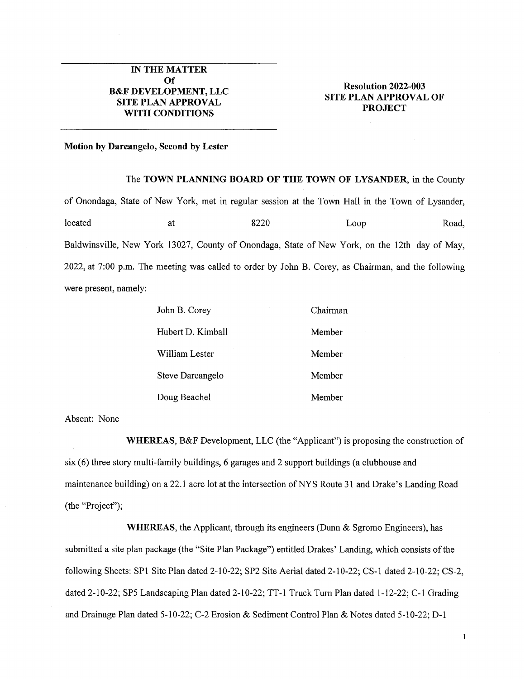## **IN THE MATTER Of Resolution 2022-003 B&F DEVELOPMENT, LLC SITE PLAN APPROVAL WITH CONDITIONS**

## **SITE PLAN APPROVAL OF PROJECT**

## **Motion by Darcangelo, Second by Lester**

The **TOWN PLANNING BOARD OF THE TOWN OF LYSANDER,** in the County of Onondaga, State of New York, met in regular session at the Town Hall in the Town of Lysander, located at at 8220 Loop Road, Baldwinsville, New York 13027, County of Onondaga, State of New York, on the 12th day of May, 2022, at 7:00 p.m. The meeting was called to order by John B. Corey, as Chairman, and the following were present, namely:

| John B. Corey     | Chairman |
|-------------------|----------|
| Hubert D. Kimball | Member   |
| William Lester    | Member   |
| Steve Darcangelo  | Member   |
| Doug Beachel      | Member   |

Absent: None

**WHEREAS,** B&F Development, LLC (the "Applicant") is proposing the construction of six (6) three story multi-family buildings, 6 garages and 2 support buildings (a clubhouse and maintenance building) on a 22.1 acre lot at the intersection of NYS Route 31 and Drake's Landing Road (the "Project");

**WHEREAS,** the Applicant, through its engineers (Dunn & Sgromo Engineers), has submitted a site plan package (the "Site Plan Package") entitled Drakes' Landing, which consists of the following Sheets: SP1 Site Plan dated 2-10-22; SP2 Site Aerial dated 2-10-22; CS-1 dated 2-10-22; CS-2, dated 2-10-22; SP5 Landscaping Plan dated 2-10-22; TT-1 Truck Turn Plan dated 1-12-22; C-l Grading and Drainage Plan dated 5-10-22; C-2 Erosion & Sediment Control Plan & Notes dated 5-10-22; D-l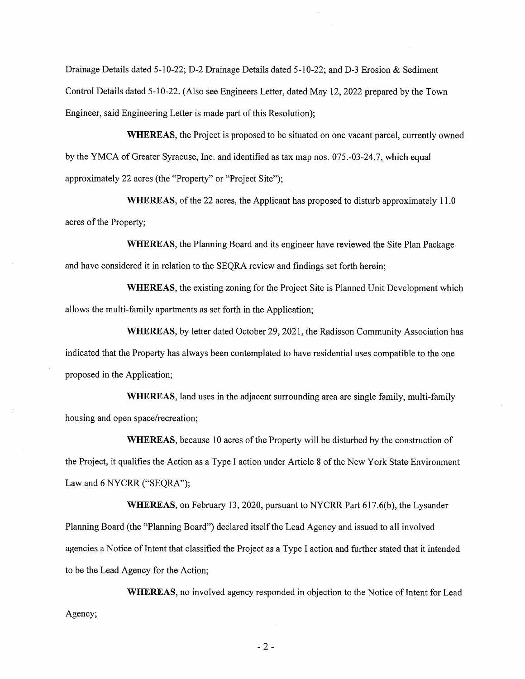Drainage Details dated 5-10-22; D-2 Drainage Details dated 5-10-22; and D-3 Erosion & Sediment Control Details dated 5-10-22. (Also see Engineers Letter, dated May 12, 2022 prepared by the Town Engineer, said Engineering Letter is made part of this Resolution);

WHEREAS, the Project is proposed to be situated on one vacant parcel, currently owned by the YMCA of Greater Syracuse, Inc. and identified as tax map nos. 075.-03-24.7, which equal approximately 22 acres (the "Property" or "Project Site");

WHEREAS, of the 22 acres, the Applicant has proposed to disturb approximately 11.0 acres of the Property;

WHEREAS, the Planning Board and its engineer have reviewed the Site Plan Package and have considered it in relation to the SEQRA review and findings set forth herein;

WHEREAS, the existing zoning for the Project Site is Planned Unit Development which allows the multi-family apartments as set forth in the Application;

WHEREAS, by letter dated October 29, 2021, the Radisson Community Association has indicated that the Property has always been contemplated to have residential uses compatible to the one proposed in the Application;

WHEREAS, land uses in the adjacent surrounding area are single family, multi-family housing and open space/recreation;

WHEREAS, because 10 acres of the Property will be disturbed by the construction of the Project, it qualifies the Action as a Type I action under Article 8 of the New York State Environment Law and 6 NYCRR ("SEQRA");

WHEREAS, on February 13, 2020, pursuant to NYCRR Part 617.6(b), the Lysander Planning Board (the "Planning Board") declared itself the Lead Agency and issued to all involved agencies a Notice of Intent that classified the Project as a Type I action and further stated that it intended to be the Lead Agency for the Action;

WHEREAS, no involved agency responded in objection to the Notice of Intent for Lead Agency;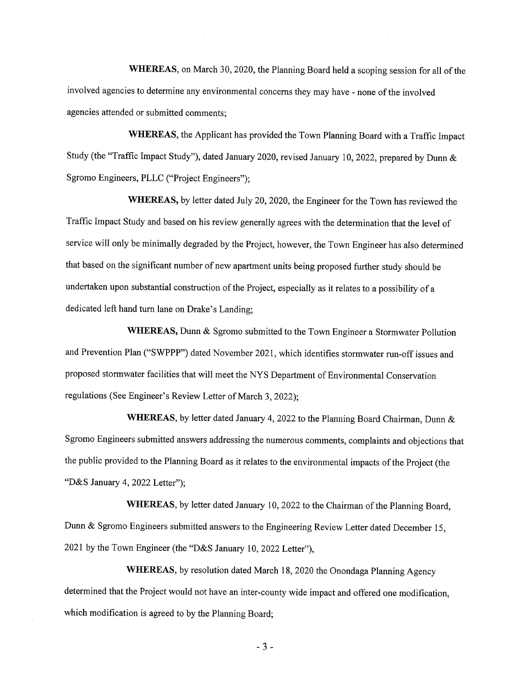WHEREAS, on March <sup>30</sup>, <sup>2020</sup>, the Planning Board held <sup>a</sup> scoping session for all of the involved agencies to determine any environmental concerns they may have - none of the involved agencies attended or submitted comments;

WHEREAS, the Applicant has provided the Town Planning Board with <sup>a</sup> Traffic Impact Study (the "Traffic Impact Study"), dated January <sup>2020</sup>, revised January <sup>10</sup>, <sup>2022</sup>, prepared by Dunn & Sgromo Engineers, PLLC ("Project Engineers");

WHEREAS, by letter dated July 20, <sup>2020</sup>, the Engineer for the Town has reviewed the Traffic Impact Study and based on his review generally agrees with the determination that the level of service will only be minimally degraded by the Project, however, the Town Engineer has also determined that based on the significant number of new apartment units being proposed further study should be undertaken upon substantial construction of the Project, especially as it relates to <sup>a</sup> possibility of <sup>a</sup> dedicated left hand turn lane on Drake'<sup>s</sup> Landing;

WHEREAS, Dunn & Sgromo submitted to the Town Engineer <sup>a</sup> Stormwater Pollution and Prevention Plan ("SWPPP") dated November 2021, which identifies stormwater run-off issues and proposed stormwater facilities that will meet the NYS Department of Environmental Conservation regulations (See Engineer'<sup>s</sup> Review Letter of March 3, <sup>2022</sup>);

WHEREAS, by letter dated January 4, 2022 to the Planning Board Chairman, Dunn & Sgromo Engineers submitted answers addressing the numerous comments, complaints and objections that the public provided to the Planning Board as it relates to the environmental impacts of the Project (the "D&S January 4, 2022 Letter");

WHEREAS, by letter dated January <sup>10</sup>, <sup>2022</sup> to the Chairman of the Planning Board, Dunn & Sgromo Engineers submitted answers to the Engineering Review Letter dated December <sup>15</sup>, <sup>2021</sup> by the Town Engineer (the "D&<sup>S</sup> January 10, <sup>2022</sup> Letter"),

WHEREAS, by resolution dated March <sup>18</sup>, <sup>2020</sup> the Onondaga Planning Agency determined that the Project would not have an inter-county wide impact and offered one modification, which modification is agreed to by the Planning Board;

- 3 -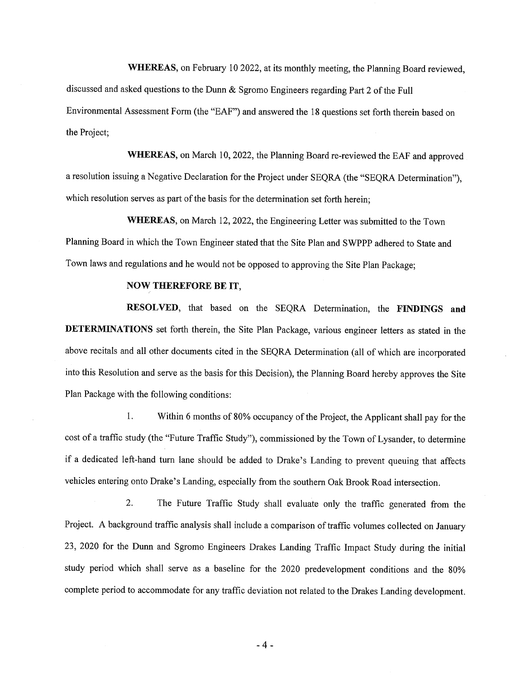WHEREAS, on February <sup>10</sup> 2022, at its monthly meeting, the Planning Board reviewed, discussed and asked questions to the Dunn & Sgromo Engineers regarding Part <sup>2</sup> of the Full Environmental Assessment Form (the "EAF") and answered the <sup>18</sup> questions set forth therein based on the Project;

WHEREAS, on March <sup>10</sup>, <sup>2022</sup>, the Planning Board re-reviewed the EAF and approved <sup>a</sup> resolution issuing <sup>a</sup> Negative Declaration for the Project under SEQRA (the "SEQRA Determination"), which resolution serves as part of the basis for the determination set forth herein;

WHEREAS, on March <sup>12</sup>, 2022, the Engineering Letter was submitted to the Town Planning Board in which the Town Engineer stated that the Site Plan and SWPPP adhered to State and Town laws and regulations and he would not be opposed to approving the Site Plan Package;

## NOW THEREFORE BE IT,

RESOLVED, that based on the SEQRA Determination, the FINDINGS and DETERMINATIONS set forth therein, the Site Plan Package, various engineer letters as stated in the above recitals and all other documents cited in the SEQRA Determination (all of which are incorporated into this Resolution and serve as the basis for this Decision), the Planning Board hereby approves the Site Plan Package with the following conditions:

<sup>1</sup>**.** Within <sup>6</sup> months of 80% occupancy of the Project, the Applicantshall pay for the cost of <sup>a</sup> traffic study (the "Future Traffic Study"), commissioned by the Town of Lysander, to determine if <sup>a</sup> dedicated left-hand turn lane should be added to Drake'<sup>s</sup> Landing to prevent queuing that affects vehicles entering onto Drake'<sup>s</sup> Landing, especially from the southern Oak Brook Road intersection.

<sup>2</sup>**.** The Future Traffic Study shall evaluate only the traffic generated from the Project. <sup>A</sup> background traffic analysis shall include <sup>a</sup> comparison of traffic volumes collected on January <sup>23</sup>, <sup>2020</sup> for the Dunn and Sgromo Engineers Drakes Landing Traffic Impact Study during the initial study period which shall serve as <sup>a</sup> baseline for the <sup>2020</sup> predevelopment conditions and the <sup>80</sup>% complete period to accommodate for any traffic deviation not related to the Drakes Landing development.

- 4 -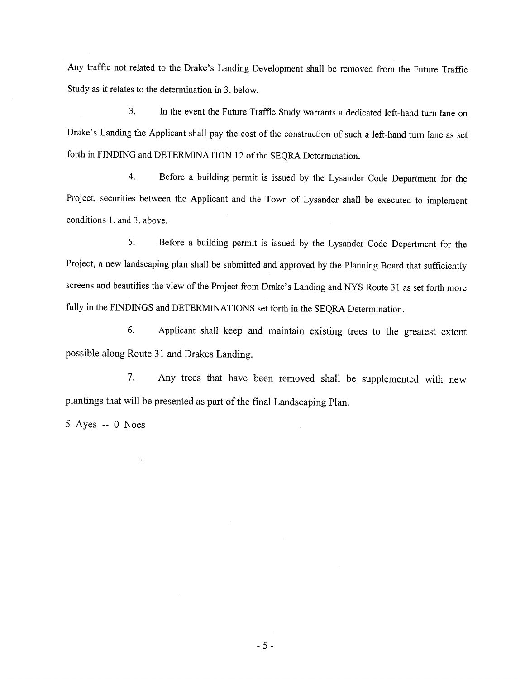Any traffic not related to the Drake'<sup>s</sup> Landing Development shall be removed from the Future Traffic Study as it relates to the determination in 3. below.

<sup>3</sup>. In the event the Future Traffic Study warrants <sup>a</sup> dedicated left-hand turn lane on Drake'<sup>s</sup> Landing the Applicant shall pay the cost of the construction of such <sup>a</sup> left-hand turn lane as set forth in FINDING and DETERMINATION <sup>12</sup> of the SEQRA Determination.

<sup>4</sup>. Before <sup>a</sup> building permit is issued by the Lysander Code Department for the Project, securities between the Applicant and the Town of Lysander shall be executed to implement conditions 1. and 3. above.

<sup>5</sup>. Before <sup>a</sup> building permit is issued by the Lysander Code Department for the Project, a new landscaping plan shall be submitted and approved by the Planning Board that sufficiently screens and beautifies the view of the Project from Drake'<sup>s</sup> Landing and NYS Route <sup>31</sup> as set forth more fully in the FINDINGS and DETERMINATIONS set forth in the SEQRA Determination.

**<sup>6</sup>** Applicant shall keep and maintain existing trees to the greatest extent **.** possible along Route <sup>31</sup> and Drakes Landing.

<sup>7</sup>. Any trees that have been removed shall be supplemented with new <sup>p</sup>lantings that will be presented as part of the final Landscaping Plan.

5 Ayes — 0 Noes